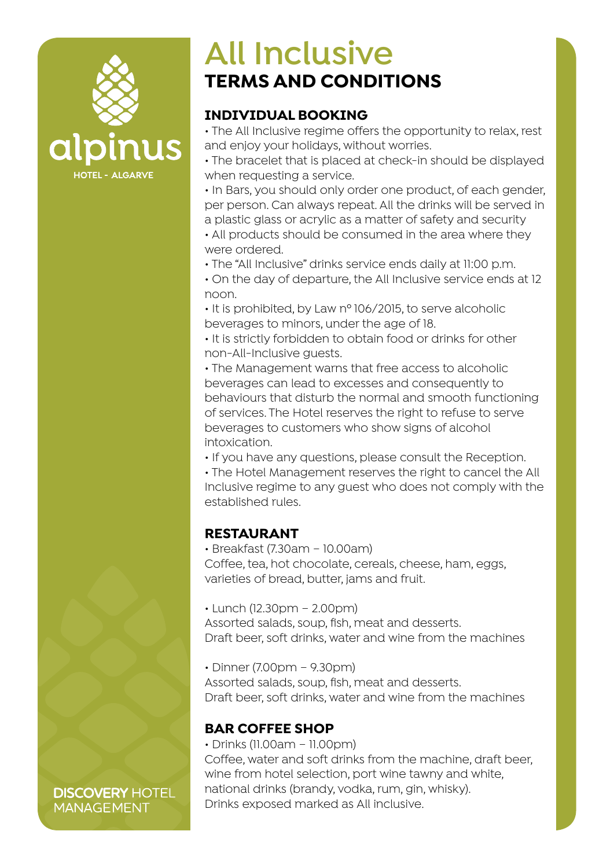

# **All Inclusive TERMS AND CONDITIONS**

## **INDIVIDUAL BOOKING**

• The All Inclusive regime offers the opportunity to relax, rest and enjoy your holidays, without worries.

• The bracelet that is placed at check-in should be displayed when requesting a service.

• In Bars, you should only order one product, of each gender, per person. Can always repeat. All the drinks will be served in a plastic glass or acrylic as a matter of safety and security

• All products should be consumed in the area where they were ordered.

• The "All Inclusive" drinks service ends daily at 11:00 p.m.

• On the day of departure, the All Inclusive service ends at 12 noon.

• It is prohibited, by Law nº 106/2015, to serve alcoholic beverages to minors, under the age of 18.

• It is strictly forbidden to obtain food or drinks for other non-All-Inclusive guests.

• The Management warns that free access to alcoholic beverages can lead to excesses and consequently to behaviours that disturb the normal and smooth functioning of services. The Hotel reserves the right to refuse to serve beverages to customers who show signs of alcohol intoxication.

• If you have any questions, please consult the Reception.

• The Hotel Management reserves the right to cancel the All Inclusive regime to any guest who does not comply with the established rules.

## **RESTAURANT**

• Breakfast (7.30am – 10.00am) Coffee, tea, hot chocolate, cereals, cheese, ham, eggs, varieties of bread, butter, jams and fruit.

• Lunch (12.30pm – 2.00pm)

Assorted salads, soup, fish, meat and desserts. Draft beer, soft drinks, water and wine from the machines

• Dinner (7.00pm – 9.30pm)

Assorted salads, soup, fish, meat and desserts. Draft beer, soft drinks, water and wine from the machines

## **BAR COFFEE SHOP**

• Drinks (11.00am – 11.00pm)

Coffee, water and soft drinks from the machine, draft beer, wine from hotel selection, port wine tawny and white, national drinks (brandy, vodka, rum, gin, whisky). Drinks exposed marked as All inclusive.

**DISCOVERY HOTEL MANAGEMENT**